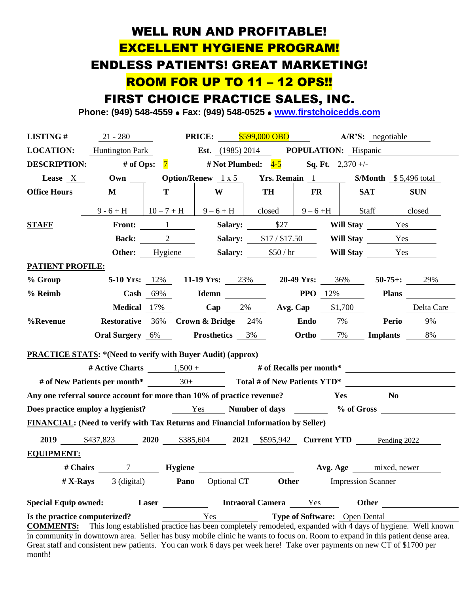# WELL RUN AND PROFITABLE! EXCELLENT HYGIENE PROGRAM! ENDLESS PATIENTS! GREAT MARKETING! ROOM FOR UP TO 11 – 12 OPS!!

### FIRST CHOICE PRACTICE SALES, INC.

**Phone: (949) 548-4559** ⚫ **Fax: (949) 548-0525** ⚫ **[www.firstchoicedds.com](http://www.firstchoicedds.com/)**

| <b>LISTING#</b>                                                                                                                                                                                                                                         | $21 - 280$                                                            |                                                                                     |                                                     | <b>PRICE:</b> \$599,000 OBO                    |                          |  | $A/R'S:$ negotiable       |            |  |
|---------------------------------------------------------------------------------------------------------------------------------------------------------------------------------------------------------------------------------------------------------|-----------------------------------------------------------------------|-------------------------------------------------------------------------------------|-----------------------------------------------------|------------------------------------------------|--------------------------|--|---------------------------|------------|--|
| <b>LOCATION:</b>                                                                                                                                                                                                                                        | <b>Huntington Park</b>                                                |                                                                                     | <b>Est.</b> (1985) 2014 <b>POPULATION:</b> Hispanic |                                                |                          |  |                           |            |  |
| # of Ops: $\frac{7}{4}$ # Not Plumbed: $\frac{4-5}{4}$ Sq. Ft. $\frac{2,370}{4}$<br><b>DESCRIPTION:</b>                                                                                                                                                 |                                                                       |                                                                                     |                                                     |                                                |                          |  |                           |            |  |
| Lease X                                                                                                                                                                                                                                                 |                                                                       |                                                                                     |                                                     | <b>Option/Renew</b> 1 x 5 <b>Yrs. Remain</b> 1 |                          |  | $Month$ \$5,496 total     |            |  |
| <b>Office Hours</b>                                                                                                                                                                                                                                     | M                                                                     | T                                                                                   | W                                                   | <b>TH</b>                                      | $\mathbf{FR}$            |  | <b>SAT</b>                | <b>SUN</b> |  |
|                                                                                                                                                                                                                                                         | $9 - 6 + H$                                                           | $10-7+H$ 9-6+H closed                                                               |                                                     |                                                | $9 - 6 + H$              |  | Staff                     | closed     |  |
| <b>STAFF</b>                                                                                                                                                                                                                                            |                                                                       | Front: $1 \underline{\qquad}$                                                       |                                                     | Salary: \$27                                   |                          |  | Will Stay Yes             |            |  |
|                                                                                                                                                                                                                                                         |                                                                       | <b>Back:</b> 2                                                                      |                                                     | <b>Salary:</b> \$17/\$17.50                    |                          |  | Will Stay Yes             |            |  |
|                                                                                                                                                                                                                                                         |                                                                       | <b>Other:</b> Hygiene                                                               |                                                     | Salary: $$50 / hr$                             |                          |  | Will Stay Yes             |            |  |
| <b>PATIENT PROFILE:</b>                                                                                                                                                                                                                                 |                                                                       |                                                                                     |                                                     |                                                |                          |  |                           |            |  |
| % Group                                                                                                                                                                                                                                                 |                                                                       | <b>5-10 Yrs:</b> 12% <b>11-19 Yrs:</b> 23% <b>20-49 Yrs:</b> 36% <b>50-75+:</b> 29% |                                                     |                                                |                          |  |                           |            |  |
| % Reimb                                                                                                                                                                                                                                                 |                                                                       | Cash $69\%$                                                                         | Idemn                                               |                                                | <b>PPO</b> 12%           |  |                           | Plans      |  |
|                                                                                                                                                                                                                                                         |                                                                       | <b>Medical</b> 17%                                                                  |                                                     | Cap $2\%$ Avg. Cap $$1,700$                    |                          |  |                           | Delta Care |  |
| %Revenue                                                                                                                                                                                                                                                |                                                                       | <b>Restorative</b> 36% Crown & Bridge 24%                                           |                                                     |                                                | Endo $7\%$               |  | <b>Perio</b>              | 9%         |  |
|                                                                                                                                                                                                                                                         | <b>Oral Surgery</b> 6%                                                |                                                                                     | <b>Prosthetics</b> 3%                               |                                                | <b>Ortho</b> 7% Implants |  |                           | 8%         |  |
| <b>PRACTICE STATS: *(Need to verify with Buyer Audit) (approx)</b>                                                                                                                                                                                      |                                                                       |                                                                                     |                                                     |                                                |                          |  |                           |            |  |
| # Active Charts $\frac{1,500 +}{4}$ # of Recalls per month*                                                                                                                                                                                             |                                                                       |                                                                                     |                                                     |                                                |                          |  |                           |            |  |
|                                                                                                                                                                                                                                                         |                                                                       |                                                                                     |                                                     |                                                |                          |  |                           |            |  |
| Any one referral source account for more than 10% of practice revenue?<br>Yes<br>N <sub>0</sub>                                                                                                                                                         |                                                                       |                                                                                     |                                                     |                                                |                          |  |                           |            |  |
| Does practice employ a hygienist? Yes Number of days % of Gross                                                                                                                                                                                         |                                                                       |                                                                                     |                                                     |                                                |                          |  |                           |            |  |
| FINANCIAL: (Need to verify with Tax Returns and Financial Information by Seller)                                                                                                                                                                        |                                                                       |                                                                                     |                                                     |                                                |                          |  |                           |            |  |
|                                                                                                                                                                                                                                                         | 2019 \$437,823 2020 \$385,604 2021 \$595,942 Current YTD Pending 2022 |                                                                                     |                                                     |                                                |                          |  |                           |            |  |
| <b>EQUIPMENT:</b>                                                                                                                                                                                                                                       |                                                                       |                                                                                     |                                                     |                                                |                          |  |                           |            |  |
| # Chairs                                                                                                                                                                                                                                                |                                                                       | 7 Hygiene                                                                           |                                                     |                                                |                          |  | Avg. Age mixed, newer     |            |  |
| $# X-Rays$                                                                                                                                                                                                                                              | 3 (digital)                                                           | Pano                                                                                | Optional CT                                         | Other                                          |                          |  | <b>Impression Scanner</b> |            |  |
|                                                                                                                                                                                                                                                         |                                                                       |                                                                                     |                                                     |                                                |                          |  |                           |            |  |
| <b>Special Equip owned:</b><br>Laser<br><b>Intraoral Camera</b><br>Yes<br>Other                                                                                                                                                                         |                                                                       |                                                                                     |                                                     |                                                |                          |  |                           |            |  |
| Type of Software: Open Dental<br>Yes<br>Is the practice computerized?<br>This long established practice has been completely remodeled, expanded with 4 days of hygiene. Well known<br><b>COMMENTS:</b>                                                  |                                                                       |                                                                                     |                                                     |                                                |                          |  |                           |            |  |
| in community in downtown area. Seller has busy mobile clinic he wants to focus on. Room to expand in this patient dense area.<br>Great staff and consistent new patients. You can work 6 days per week here! Take over payments on new CT of \$1700 per |                                                                       |                                                                                     |                                                     |                                                |                          |  |                           |            |  |

month!